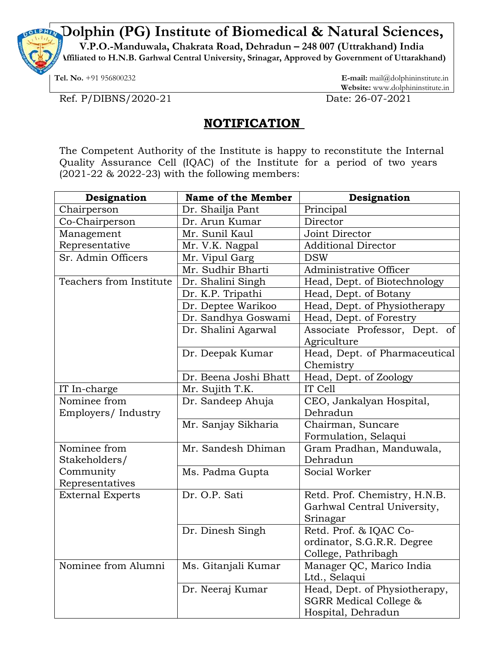**Dolphin (PG) Institute of Biomedical & Natural Sciences,**

**V.P.O.-Manduwala, Chakrata Road, Dehradun – 248 007 (Uttrakhand) India** 

**(Affiliated to H.N.B. Garhwal Central University, Srinagar, Approved by Government of Uttarakhand)**

**Tel. No.** +91 956800232 **E-mail:** mail@dolphininstitute.in **Website:** www.dolphininstitute.in

Ref. P/DIBNS/2020-21 Date: 26-07-2021

## **NOTIFICATION**

The Competent Authority of the Institute is happy to reconstitute the Internal Quality Assurance Cell (IQAC) of the Institute for a period of two years (2021-22 & 2022-23) with the following members:

| Designation             | <b>Name of the Member</b> | Designation                   |
|-------------------------|---------------------------|-------------------------------|
| Chairperson             | Dr. Shailja Pant          | Principal                     |
| Co-Chairperson          | Dr. Arun Kumar            | Director                      |
| Management              | Mr. Sunil Kaul            | Joint Director                |
| Representative          | Mr. V.K. Nagpal           | <b>Additional Director</b>    |
| Sr. Admin Officers      | Mr. Vipul Garg            | <b>DSW</b>                    |
|                         | Mr. Sudhir Bharti         | Administrative Officer        |
| Teachers from Institute | Dr. Shalini Singh         | Head, Dept. of Biotechnology  |
|                         | Dr. K.P. Tripathi         | Head, Dept. of Botany         |
|                         | Dr. Deptee Warikoo        | Head, Dept. of Physiotherapy  |
|                         | Dr. Sandhya Goswami       | Head, Dept. of Forestry       |
|                         | Dr. Shalini Agarwal       | Associate Professor, Dept. of |
|                         |                           | Agriculture                   |
|                         | Dr. Deepak Kumar          | Head, Dept. of Pharmaceutical |
|                         |                           | Chemistry                     |
|                         | Dr. Beena Joshi Bhatt     | Head, Dept. of Zoology        |
| IT In-charge            | Mr. Sujith T.K.           | IT Cell                       |
| Nominee from            | Dr. Sandeep Ahuja         | CEO, Jankalyan Hospital,      |
| Employers/ Industry     |                           | Dehradun                      |
|                         | Mr. Sanjay Sikharia       | Chairman, Suncare             |
|                         |                           | Formulation, Selaqui          |
| Nominee from            | Mr. Sandesh Dhiman        | Gram Pradhan, Manduwala,      |
| Stakeholders/           |                           | Dehradun                      |
| Community               | Ms. Padma Gupta           | Social Worker                 |
| Representatives         |                           |                               |
| <b>External Experts</b> | Dr. O.P. Sati             | Retd. Prof. Chemistry, H.N.B. |
|                         |                           | Garhwal Central University,   |
|                         |                           | Srinagar                      |
|                         | Dr. Dinesh Singh          | Retd. Prof. & IQAC Co-        |
|                         |                           | ordinator, S.G.R.R. Degree    |
|                         |                           | College, Pathribagh           |
| Nominee from Alumni     | Ms. Gitanjali Kumar       | Manager QC, Marico India      |
|                         |                           | Ltd., Selaqui                 |
|                         | Dr. Neeraj Kumar          | Head, Dept. of Physiotherapy, |
|                         |                           | SGRR Medical College &        |
|                         |                           | Hospital, Dehradun            |